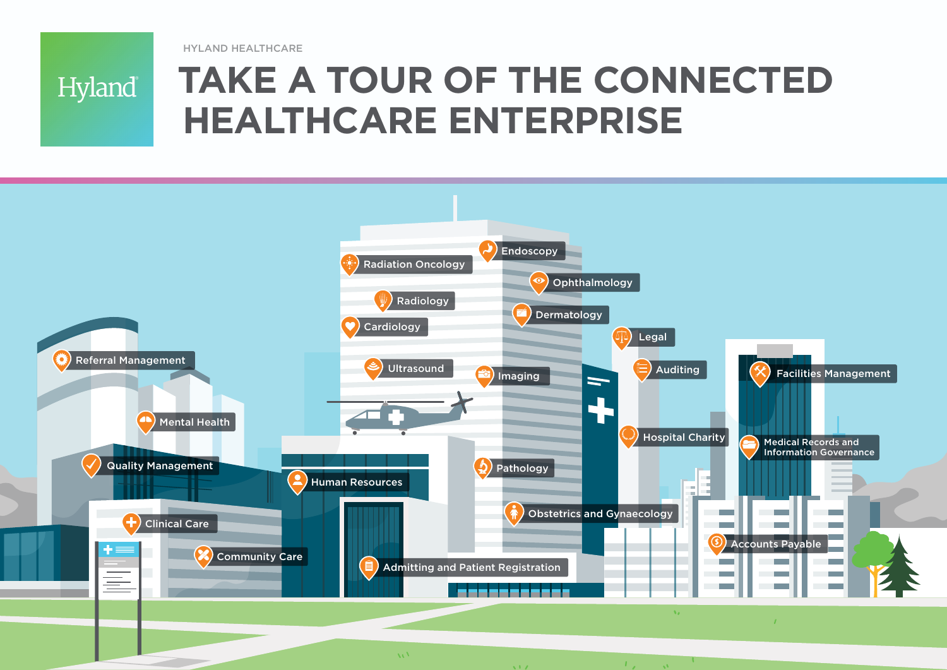HYLAND HEALTHCARE

Hyland®

# **TAKE A TOUR OF THE CONNECTED HEALTHCARE ENTERPRISE**